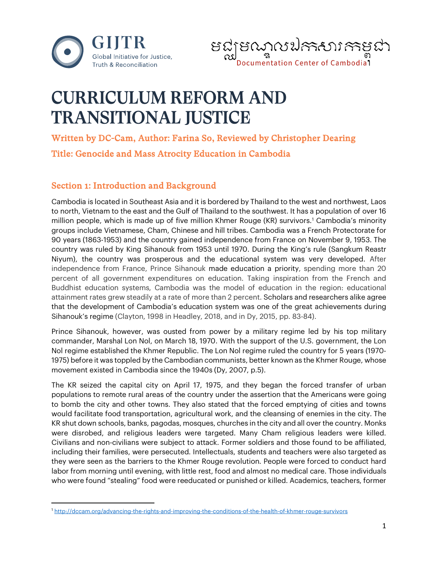



# CURRICULUM REFORM AND TRANSITIONAL JUSTICE

Written by DC-Cam, Author: Farina So, Reviewed by Christopher Dearing Title: Genocide and Mass Atrocity Education in Cambodia

# Section 1: Introduction and Background

Cambodia is located in Southeast Asia and it is bordered by Thailand to the west and northwest, Laos to north, Vietnam to the east and the Gulf of Thailand to the southwest. It has a population of over 16 million people, which is made up of five million Khmer Rouge (KR) survivors[.1](#page-0-0) Cambodia's minority groups include Vietnamese, Cham, Chinese and hill tribes. Cambodia was a French Protectorate for 90 years (1863-1953) and the country gained independence from France on November 9, 1953. The country was ruled by King Sihanouk from 1953 until 1970. During the King's rule (Sangkum Reastr Niyum), the country was prosperous and the educational system was very developed. After independence from France, Prince Sihanouk made education a priority, spending more than 20 percent of all government expenditures on education. Taking inspiration from the French and Buddhist education systems, Cambodia was the model of education in the region: educational attainment rates grew steadily at a rate of more than 2 percent. Scholars and researchers alike agree that the development of Cambodia's education system was one of the great achievements during Sihanouk's regime (Clayton, 1998 in Headley, 2018, and in Dy, 2015, pp. 83-84).

Prince Sihanouk, however, was ousted from power by a military regime led by his top military commander, Marshal Lon Nol, on March 18, 1970. With the support of the U.S. government, the Lon Nol regime established the Khmer Republic. The Lon Nol regime ruled the country for 5 years (1970- 1975) before it was toppled by the Cambodian communists, better known as the Khmer Rouge, whose movement existed in Cambodia since the 1940s (Dy, 2007, p.5).

The KR seized the capital city on April 17, 1975, and they began the forced transfer of urban populations to remote rural areas of the country under the assertion that the Americans were going to bomb the city and other towns. They also stated that the forced emptying of cities and towns would facilitate food transportation, agricultural work, and the cleansing of enemies in the city. The KR shut down schools, banks, pagodas, mosques, churches in the city and all over the country. Monks were disrobed, and religious leaders were targeted. Many Cham religious leaders were killed. Civilians and non-civilians were subject to attack. Former soldiers and those found to be affiliated, including their families, were persecuted. Intellectuals, students and teachers were also targeted as they were seen as the barriers to the Khmer Rouge revolution. People were forced to conduct hard labor from morning until evening, with little rest, food and almost no medical care. Those individuals who were found "stealing" food were reeducated or punished or killed. Academics, teachers, former

<span id="page-0-0"></span><sup>1</sup> <http://dccam.org/advancing-the-rights-and-improving-the-conditions-of-the-health-of-khmer-rouge-survivors>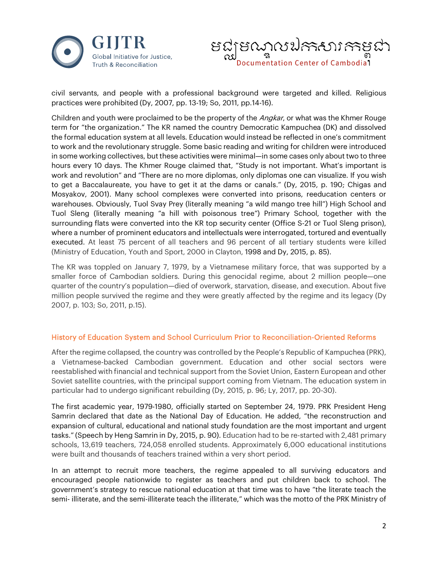



civil servants, and people with a professional background were targeted and killed. Religious practices were prohibited (Dy, 2007, pp. 13-19; So, 2011, pp.14-16).

Children and youth were proclaimed to be the property of the Angkar, or what was the Khmer Rouge term for "the organization." The KR named the country Democratic Kampuchea (DK) and dissolved the formal education system at all levels. Education would instead be reflected in one's commitment to work and the revolutionary struggle. Some basic reading and writing for children were introduced in some working collectives, but these activities were minimal—in some cases only about two to three hours every 10 days. The Khmer Rouge claimed that, "Study is not important. What's important is work and revolution" and "There are no more diplomas, only diplomas one can visualize. If you wish to get a Baccalaureate, you have to get it at the dams or canals." (Dy, 2015, p. 190; Chigas and Mosyakov, 2001). Many school complexes were converted into prisons, reeducation centers or warehouses. Obviously, Tuol Svay Prey (literally meaning "a wild mango tree hill") High School and Tuol Sleng (literally meaning "a hill with poisonous tree") Primary School, together with the surrounding flats were converted into the KR top security center (Office S-21 or Tuol Sleng prison), where a number of prominent educators and intellectuals were interrogated, tortured and eventually executed. At least 75 percent of all teachers and 96 percent of all tertiary students were killed (Ministry of Education, Youth and Sport, 2000 in Clayton, 1998 and Dy, 2015, p. 85).

The KR was toppled on January 7, 1979, by a Vietnamese military force, that was supported by a smaller force of Cambodian soldiers. During this genocidal regime, about 2 million people—one quarter of the country's population—died of overwork, starvation, disease, and execution. About five million people survived the regime and they were greatly affected by the regime and its legacy (Dy 2007, p. 103; So, 2011, p.15).

# History of Education System and School Curriculum Prior to Reconciliation-Oriented Reforms

After the regime collapsed, the country was controlled by the People's Republic of Kampuchea (PRK), a Vietnamese-backed Cambodian government. Education and other social sectors were reestablished with financial and technical support from the Soviet Union, Eastern European and other Soviet satellite countries, with the principal support coming from Vietnam. The education system in particular had to undergo significant rebuilding (Dy, 2015, p. 96; Ly, 2017, pp. 20-30).

The first academic year, 1979-1980, officially started on September 24, 1979. PRK President Heng Samrin declared that date as the National Day of Education. He added, "the reconstruction and expansion of cultural, educational and national study foundation are the most important and urgent tasks." (Speech by Heng Samrin in Dy, 2015, p. 90). Education had to be re-started with 2,481 primary schools, 13,619 teachers, 724,058 enrolled students. Approximately 6,000 educational institutions were built and thousands of teachers trained within a very short period.

In an attempt to recruit more teachers, the regime appealed to all surviving educators and encouraged people nationwide to register as teachers and put children back to school. The government's strategy to rescue national education at that time was to have "the literate teach the semi- illiterate, and the semi-illiterate teach the illiterate," which was the motto of the PRK Ministry of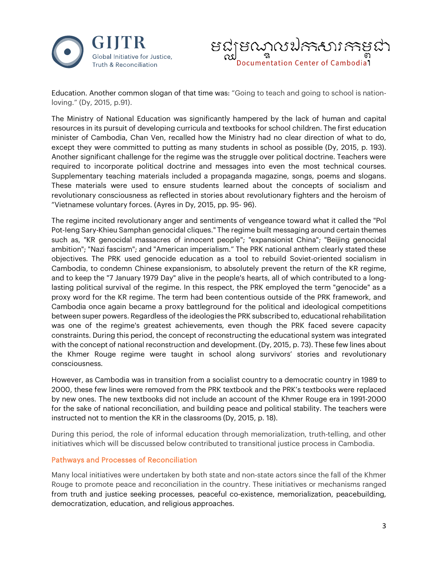



Education. Another common slogan of that time was: "Going to teach and going to school is nationloving." (Dy, 2015, p.91).

The Ministry of National Education was significantly hampered by the lack of human and capital resources in its pursuit of developing curricula and textbooks for school children. The first education minister of Cambodia, Chan Ven, recalled how the Ministry had no clear direction of what to do, except they were committed to putting as many students in school as possible (Dy, 2015, p. 193). Another significant challenge for the regime was the struggle over political doctrine. Teachers were required to incorporate political doctrine and messages into even the most technical courses. Supplementary teaching materials included a propaganda magazine, songs, poems and slogans. These materials were used to ensure students learned about the concepts of socialism and revolutionary consciousness as reflected in stories about revolutionary fighters and the heroism of "Vietnamese voluntary forces. (Ayres in Dy, 2015, pp. 95- 96).

The regime incited revolutionary anger and sentiments of vengeance toward what it called the "Pol Pot-Ieng Sary-Khieu Samphan genocidal cliques." The regime built messaging around certain themes such as, "KR genocidal massacres of innocent people"; "expansionist China"; "Beijing genocidal ambition"; "Nazi fascism"; and "American imperialism." The PRK national anthem clearly stated these objectives. The PRK used genocide education as a tool to rebuild Soviet-oriented socialism in Cambodia, to condemn Chinese expansionism, to absolutely prevent the return of the KR regime, and to keep the "7 January 1979 Day" alive in the people's hearts, all of which contributed to a longlasting political survival of the regime. In this respect, the PRK employed the term "genocide" as a proxy word for the KR regime. The term had been contentious outside of the PRK framework, and Cambodia once again became a proxy battleground for the political and ideological competitions between super powers. Regardless of the ideologies the PRK subscribed to, educational rehabilitation was one of the regime's greatest achievements, even though the PRK faced severe capacity constraints. During this period, the concept of reconstructing the educational system was integrated with the concept of national reconstruction and development. (Dy, 2015, p. 73). These few lines about the Khmer Rouge regime were taught in school along survivors' stories and revolutionary consciousness.

However, as Cambodia was in transition from a socialist country to a democratic country in 1989 to 2000, these few lines were removed from the PRK textbook and the PRK's textbooks were replaced by new ones. The new textbooks did not include an account of the Khmer Rouge era in 1991-2000 for the sake of national reconciliation, and building peace and political stability. The teachers were instructed not to mention the KR in the classrooms (Dy, 2015, p. 18).

During this period, the role of informal education through memorialization, truth-telling, and other initiatives which will be discussed below contributed to transitional justice process in Cambodia.

# Pathways and Processes of Reconciliation

Many local initiatives were undertaken by both state and non-state actors since the fall of the Khmer Rouge to promote peace and reconciliation in the country. These initiatives or mechanisms ranged from truth and justice seeking processes, peaceful co-existence, memorialization, peacebuilding, democratization, education, and religious approaches.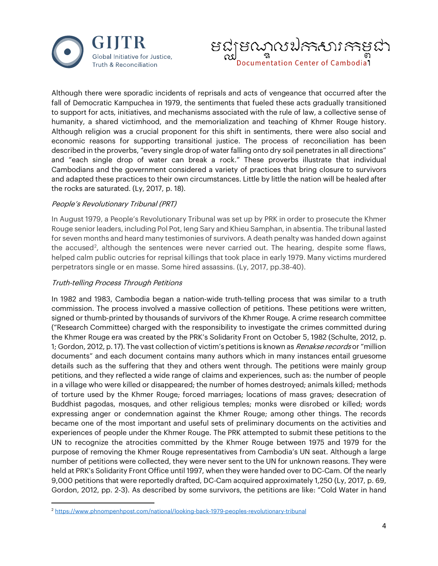



Although there were sporadic incidents of reprisals and acts of vengeance that occurred after the fall of Democratic Kampuchea in 1979, the sentiments that fueled these acts gradually transitioned to support for acts, initiatives, and mechanisms associated with the rule of law, a collective sense of humanity, a shared victimhood, and the memorialization and teaching of Khmer Rouge history. Although religion was a crucial proponent for this shift in sentiments, there were also social and economic reasons for supporting transitional justice. The process of reconciliation has been described in the proverbs, "every single drop of water falling onto dry soil penetrates in all directions" and "each single drop of water can break a rock." These proverbs illustrate that individual Cambodians and the government considered a variety of practices that bring closure to survivors and adapted these practices to their own circumstances. Little by little the nation will be healed after the rocks are saturated. (Ly, 2017, p. 18).

#### People's Revolutionary Tribunal (PRT)

In August 1979, a People's Revolutionary Tribunal was set up by PRK in order to prosecute the Khmer Rouge senior leaders, including Pol Pot, Ieng Sary and Khieu Samphan, in absentia. The tribunal lasted for seven months and heard many testimonies of survivors. A death penalty was handed down against the accused<sup>[2](#page-3-0)</sup>, although the sentences were never carried out. The hearing, despite some flaws, helped calm public outcries for reprisal killings that took place in early 1979. Many victims murdered perpetrators single or en masse. Some hired assassins. (Ly, 2017, pp.38-40).

#### Truth-telling Process Through Petitions

In 1982 and 1983, Cambodia began a nation-wide truth-telling process that was similar to a truth commission. The process involved a massive collection of petitions. These petitions were written, signed or thumb-printed by thousands of survivors of the Khmer Rouge. A crime research committee ("Research Committee) charged with the responsibility to investigate the crimes committed during the Khmer Rouge era was created by the PRK's Solidarity Front on October 5, 1982 (Schulte, 2012, p. 1; Gordon, 2012, p. 17). The vast collection of victim's petitions is known as *Renakse records* or "million documents" and each document contains many authors which in many instances entail gruesome details such as the suffering that they and others went through. The petitions were mainly group petitions, and they reflected a wide range of claims and experiences, such as: the number of people in a village who were killed or disappeared; the number of homes destroyed; animals killed; methods of torture used by the Khmer Rouge; forced marriages; locations of mass graves; desecration of Buddhist pagodas, mosques, and other religious temples; monks were disrobed or killed; words expressing anger or condemnation against the Khmer Rouge; among other things. The records became one of the most important and useful sets of preliminary documents on the activities and experiences of people under the Khmer Rouge. The PRK attempted to submit these petitions to the UN to recognize the atrocities committed by the Khmer Rouge between 1975 and 1979 for the purpose of removing the Khmer Rouge representatives from Cambodia's UN seat. Although a large number of petitions were collected, they were never sent to the UN for unknown reasons. They were held at PRK's Solidarity Front Office until 1997, when they were handed over to DC-Cam. Of the nearly 9,000 petitions that were reportedly drafted, DC-Cam acquired approximately 1,250 (Ly, 2017, p. 69, Gordon, 2012, pp. 2-3). As described by some survivors, the petitions are like: "Cold Water in hand

<span id="page-3-0"></span><sup>2</sup> <https://www.phnompenhpost.com/national/looking-back-1979-peoples-revolutionary-tribunal>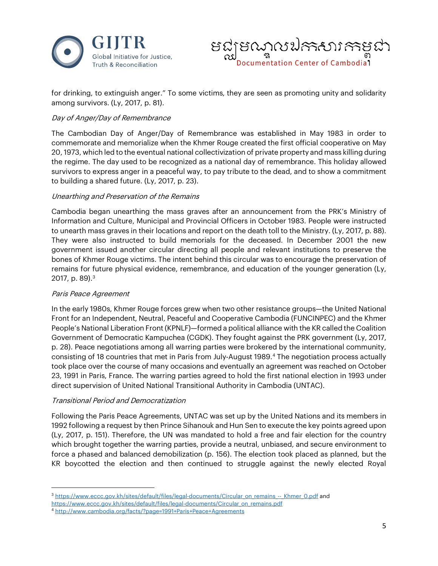



for drinking, to extinguish anger." To some victims, they are seen as promoting unity and solidarity among survivors. (Ly, 2017, p. 81).

### Day of Anger/Day of Remembrance

The Cambodian Day of Anger/Day of Remembrance was established in May 1983 in order to commemorate and memorialize when the Khmer Rouge created the first official cooperative on May 20, 1973, which led to the eventual national collectivization of private property and mass killing during the regime. The day used to be recognized as a national day of remembrance. This holiday allowed survivors to express anger in a peaceful way, to pay tribute to the dead, and to show a commitment to building a shared future. (Ly, 2017, p. 23).

#### Unearthing and Preservation of the Remains

Cambodia began unearthing the mass graves after an announcement from the PRK's Ministry of Information and Culture, Municipal and Provincial Officers in October 1983. People were instructed to unearth mass graves in their locations and report on the death toll to the Ministry. (Ly, 2017, p. 88). They were also instructed to build memorials for the deceased. In December 2001 the new government issued another circular directing all people and relevant institutions to preserve the bones of Khmer Rouge victims. The intent behind this circular was to encourage the preservation of remains for future physical evidence, remembrance, and education of the younger generation (Ly, 2017, p. 89).<sup>[3](#page-4-0)</sup>

#### Paris Peace Agreement

In the early 1980s, Khmer Rouge forces grew when two other resistance groups—the United National Front for an Independent, Neutral, Peaceful and Cooperative Cambodia (FUNCINPEC) and the Khmer People's National Liberation Front (KPNLF)—formed a political alliance with the KR called the Coalition Government of Democratic Kampuchea (CGDK). They fought against the PRK government (Ly, 2017, p. 28). Peace negotiations among all warring parties were brokered by the international community, consisting of 18 countries that met in Paris from July-August 1989.[4](#page-4-1) The negotiation process actually took place over the course of many occasions and eventually an agreement was reached on October 23, 1991 in Paris, France. The warring parties agreed to hold the first national election in 1993 under direct supervision of United National Transitional Authority in Cambodia (UNTAC).

#### Transitional Period and Democratization

Following the Paris Peace Agreements, UNTAC was set up by the United Nations and its members in 1992 following a request by then Prince Sihanouk and Hun Sen to execute the key points agreed upon (Ly, 2017, p. 151). Therefore, the UN was mandated to hold a free and fair election for the country which brought together the warring parties, provide a neutral, unbiased, and secure environment to force a phased and balanced demobilization (p. 156). The election took placed as planned, but the KR boycotted the election and then continued to struggle against the newly elected Royal

<span id="page-4-0"></span><sup>3</sup> [https://www.eccc.gov.kh/sites/default/files/legal-documents/Circular\\_on\\_remains\\_--\\_Khmer\\_0.pdf](https://www.eccc.gov.kh/sites/default/files/legal-documents/Circular_on_remains_--_Khmer_0.pdf) and

<span id="page-4-1"></span>[https://www.eccc.gov.kh/sites/default/files/legal-documents/Circular\\_on\\_remains.pdf](https://www.eccc.gov.kh/sites/default/files/legal-documents/Circular_on_remains.pdf)

<sup>4</sup> <http://www.cambodia.org/facts/?page=1991+Paris+Peace+Agreements>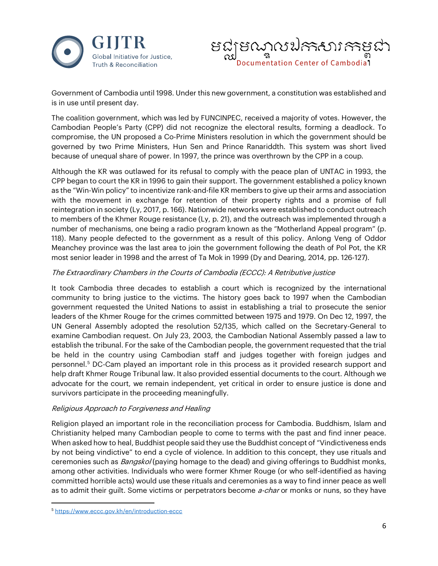



Government of Cambodia until 1998. Under this new government, a constitution was established and is in use until present day.

The coalition government, which was led by FUNCINPEC, received a majority of votes. However, the Cambodian People's Party (CPP) did not recognize the electoral results, forming a deadlock. To compromise, the UN proposed a Co-Prime Ministers resolution in which the government should be governed by two Prime Ministers, Hun Sen and Prince Ranariddth. This system was short lived because of unequal share of power. In 1997, the prince was overthrown by the CPP in a coup.

Although the KR was outlawed for its refusal to comply with the peace plan of UNTAC in 1993, the CPP began to court the KR in 1996 to gain their support. The government established a policy known as the "Win-Win policy" to incentivize rank-and-file KR members to give up their arms and association with the movement in exchange for retention of their property rights and a promise of full reintegration in society (Ly, 2017, p. 166). Nationwide networks were established to conduct outreach to members of the Khmer Rouge resistance (Ly, p. 21), and the outreach was implemented through a number of mechanisms, one being a radio program known as the "Motherland Appeal program" (p. 118). Many people defected to the government as a result of this policy. Anlong Veng of Oddor Meanchey province was the last area to join the government following the death of Pol Pot, the KR most senior leader in 1998 and the arrest of Ta Mok in 1999 (Dy and Dearing, 2014, pp. 126-127).

# The Extraordinary Chambers in the Courts of Cambodia (ECCC): A Retributive justice

It took Cambodia three decades to establish a court which is recognized by the international community to bring justice to the victims. The history goes back to 1997 when the Cambodian government requested the United Nations to assist in establishing a trial to prosecute the senior leaders of the Khmer Rouge for the crimes committed between 1975 and 1979. On Dec 12, 1997, the UN General Assembly adopted the resolution 52/135, which called on the Secretary-General to examine Cambodian request. On July 23, 2003, the Cambodian National Assembly passed a law to establish the tribunal. For the sake of the Cambodian people, the government requested that the trial be held in the country using Cambodian staff and judges together with foreign judges and personnel.[5](#page-5-0) DC-Cam played an important role in this process as it provided research support and help draft Khmer Rouge Tribunal law. It also provided essential documents to the court. Although we advocate for the court, we remain independent, yet critical in order to ensure justice is done and survivors participate in the proceeding meaningfully.

#### Religious Approach to Forgiveness and Healing

Religion played an important role in the reconciliation process for Cambodia. Buddhism, Islam and Christianity helped many Cambodian people to come to terms with the past and find inner peace. When asked how to heal, Buddhist people said they use the Buddhist concept of "Vindictiveness ends by not being vindictive" to end a cycle of violence. In addition to this concept, they use rituals and ceremonies such as *Bangskol* (paying homage to the dead) and giving offerings to Buddhist monks, among other activities. Individuals who were former Khmer Rouge (or who self-identified as having committed horrible acts) would use these rituals and ceremonies as a way to find inner peace as well as to admit their guilt. Some victims or perpetrators become *a-char* or monks or nuns, so they have

<span id="page-5-0"></span><sup>5</sup> <https://www.eccc.gov.kh/en/introduction-eccc>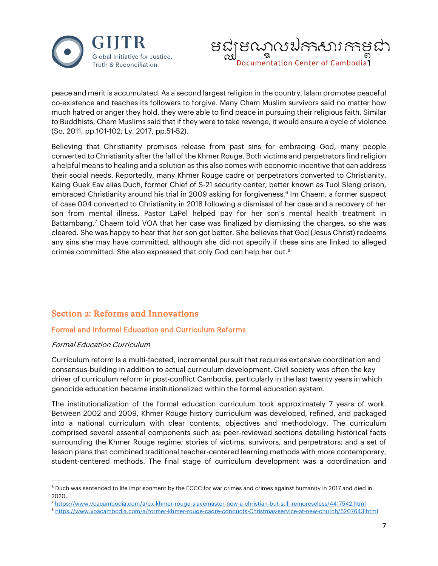



peace and merit is accumulated. As a second largest religion in the country, Islam promotes peaceful co-existence and teaches its followers to forgive. Many Cham Muslim survivors said no matter how much hatred or anger they hold, they were able to find peace in pursuing their religious faith. Similar to Buddhists, Cham Muslims said that if they were to take revenge, it would ensure a cycle of violence (So, 2011, pp.101-102; Ly, 2017, pp.51-52).

Believing that Christianity promises release from past sins for embracing God, many people converted to Christianity after the fall of the Khmer Rouge. Both victims and perpetrators find religion a helpful means to healing and a solution as this also comes with economic incentive that can address their social needs. Reportedly, many Khmer Rouge cadre or perpetrators converted to Christianity. Kaing Guek Eav alias Duch, former Chief of S-21 security center, better known as Tuol Sleng prison, embraced Christianity around his trial in 2009 asking for forgiveness.<sup>[6](#page-6-0)</sup> Im Chaem, a former suspect of case 004 converted to Christianity in 2018 following a dismissal of her case and a recovery of her son from mental illness. Pastor LaPel helped pay for her son's mental health treatment in Battambang.<sup>7</sup> Chaem told VOA that her case was finalized by dismissing the charges, so she was cleared. She was happy to hear that her son got better. She believes that God (Jesus Christ) redeems any sins she may have committed, although she did not specify if these sins are linked to alleged crimes committed. She also expressed that only God can help her out.[8](#page-6-2)

# Section 2: Reforms and Innovations

# Formal and Informal Education and Curriculum Reforms

#### Formal Education Curriculum

Curriculum reform is a multi-faceted, incremental pursuit that requires extensive coordination and consensus-building in addition to actual curriculum development. Civil society was often the key driver of curriculum reform in post-conflict Cambodia, particularly in the last twenty years in which genocide education became institutionalized within the formal education system.

The institutionalization of the formal education curriculum took approximately 7 years of work. Between 2002 and 2009, Khmer Rouge history curriculum was developed, refined, and packaged into a national curriculum with clear contents, objectives and methodology. The curriculum comprised several essential components such as: peer-reviewed sections detailing historical facts surrounding the Khmer Rouge regime; stories of victims, survivors, and perpetrators; and a set of lesson plans that combined traditional teacher-centered learning methods with more contemporary, student-centered methods. The final stage of curriculum development was a coordination and

<span id="page-6-0"></span><sup>6</sup> Duch was sentenced to life imprisonment by the ECCC for war crimes and crimes against humanity in 2017 and died in 2020.

<span id="page-6-2"></span><span id="page-6-1"></span><sup>7</sup> <https://www.voacambodia.com/a/ex-khmer-rouge-slavemaster-now-a-christian-but-still-remoreseless/4417542.html>

<sup>8</sup> <https://www.voacambodia.com/a/former-khmer-rouge-cadre-conducts-Christmas-service-at-new-church/5207643.html>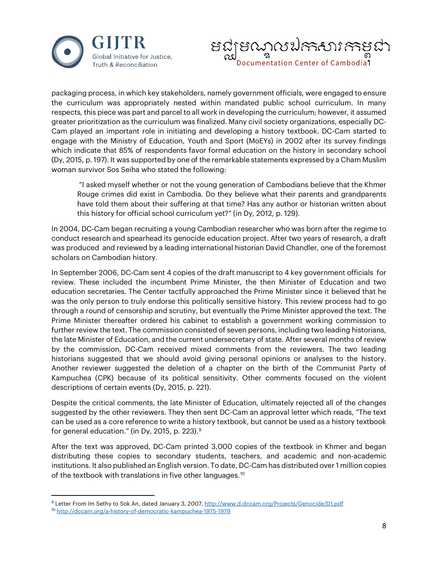



packaging process, in which key stakeholders, namely government officials, were engaged to ensure the curriculum was appropriately nested within mandated public school curriculum. In many respects, this piece was part and parcel to all work in developing the curriculum; however, it assumed greater prioritization as the curriculum was finalized. Many civil society organizations, especially DC-Cam played an important role in initiating and developing a history textbook. DC-Cam started to engage with the Ministry of Education, Youth and Sport (MoEYs) in 2002 after its survey findings which indicate that 85% of respondents favor formal education on the history in secondary school (Dy, 2015, p. 197). It was supported by one of the remarkable statements expressed by a Cham Muslim woman survivor Sos Seiha who stated the following:

"I asked myself whether or not the young generation of Cambodians believe that the Khmer Rouge crimes did exist in Cambodia. Do they believe what their parents and grandparents have told them about their suffering at that time? Has any author or historian written about this history for official school curriculum yet?" (in Dy, 2012, p. 129).

In 2004, DC-Cam began recruiting a young Cambodian researcher who was born after the regime to conduct research and spearhead its genocide education project. After two years of research, a draft was produced and reviewed by a leading international historian David Chandler, one of the foremost scholars on Cambodian history.

In September 2006, DC-Cam sent 4 copies of the draft manuscript to 4 key government officials for review. These included the incumbent Prime Minister, the then Minister of Education and two education secretaries. The Center tactfully approached the Prime Minister since it believed that he was the only person to truly endorse this politically sensitive history. This review process had to go through a round of censorship and scrutiny, but eventually the Prime Minister approved the text. The Prime Minister thereafter ordered his cabinet to establish a government working commission to further review the text. The commission consisted of seven persons, including two leading historians, the late Minister of Education, and the current undersecretary of state. After several months of review by the commission, DC-Cam received mixed comments from the reviewers. The two leading historians suggested that we should avoid giving personal opinions or analyses to the history. Another reviewer suggested the deletion of a chapter on the birth of the Communist Party of Kampuchea (CPK) because of its political sensitivity. Other comments focused on the violent descriptions of certain events (Dy, 2015, p. 221).

Despite the critical comments, the late Minister of Education, ultimately rejected all of the changes suggested by the other reviewers. They then sent DC-Cam an approval letter which reads, "The text can be used as a core reference to write a history textbook, but cannot be used as a history textbook for general education." (in Dy, 2015, p. 223).[9](#page-7-0)

After the text was approved, DC-Cam printed 3,000 copies of the textbook in Khmer and began distributing these copies to secondary students, teachers, and academic and non-academic institutions. It also published an English version. To date, DC-Cam has distributed over 1 million copies of the textbook with translations in five other languages.<sup>[10](#page-7-1)</sup>

<span id="page-7-1"></span><span id="page-7-0"></span><sup>9</sup> Letter From Im Sethy to Sok An, dated January 3, 2007[, http://www.d.dccam.org/Projects/Genocide/D1.pdf](http://www.d.dccam.org/Projects/Genocide/D1.pdf) <sup>10</sup> <http://dccam.org/a-history-of-democratic-kampuchea-1975-1979>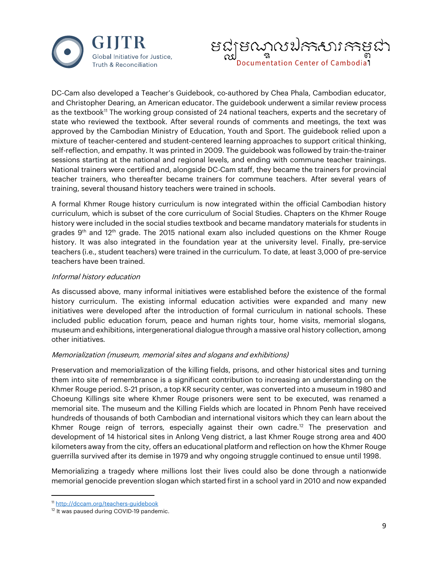



DC-Cam also developed a Teacher's Guidebook, co-authored by Chea Phala, Cambodian educator, and Christopher Dearing, an American educator. The guidebook underwent a similar review process as the textbook<sup>11</sup> The working group consisted of 24 national teachers, experts and the secretary of state who reviewed the textbook. After several rounds of comments and meetings, the text was approved by the Cambodian Ministry of Education, Youth and Sport. The guidebook relied upon a mixture of teacher-centered and student-centered learning approaches to support critical thinking, self-reflection, and empathy. It was printed in 2009. The guidebook was followed by train-the-trainer sessions starting at the national and regional levels, and ending with commune teacher trainings. National trainers were certified and, alongside DC-Cam staff, they became the trainers for provincial teacher trainers, who thereafter became trainers for commune teachers. After several years of training, several thousand history teachers were trained in schools.

A formal Khmer Rouge history curriculum is now integrated within the official Cambodian history curriculum, which is subset of the core curriculum of Social Studies. Chapters on the Khmer Rouge history were included in the social studies textbook and became mandatory materials for students in grades  $9<sup>th</sup>$  and 12<sup>th</sup> grade. The 2015 national exam also included questions on the Khmer Rouge history. It was also integrated in the foundation year at the university level. Finally, pre-service teachers (i.e., student teachers) were trained in the curriculum. To date, at least 3,000 of pre-service teachers have been trained.

#### Informal history education

As discussed above, many informal initiatives were established before the existence of the formal history curriculum. The existing informal education activities were expanded and many new initiatives were developed after the introduction of formal curriculum in national schools. These included public education forum, peace and human rights tour, home visits, memorial slogans, museum and exhibitions, intergenerational dialogue through a massive oral history collection, among other initiatives.

#### Memorialization (museum, memorial sites and slogans and exhibitions)

Preservation and memorialization of the killing fields, prisons, and other historical sites and turning them into site of remembrance is a significant contribution to increasing an understanding on the Khmer Rouge period. S-21 prison, a top KR security center, was converted into a museum in 1980 and Choeung Killings site where Khmer Rouge prisoners were sent to be executed, was renamed a memorial site. The museum and the Killing Fields which are located in Phnom Penh have received hundreds of thousands of both Cambodian and international visitors which they can learn about the Khmer Rouge reign of terrors, especially against their own cadre.<sup>[12](#page-8-1)</sup> The preservation and development of 14 historical sites in Anlong Veng district, a last Khmer Rouge strong area and 400 kilometers away from the city, offers an educational platform and reflection on how the Khmer Rouge guerrilla survived after its demise in 1979 and why ongoing struggle continued to ensue until 1998.

Memorializing a tragedy where millions lost their lives could also be done through a nationwide memorial genocide prevention slogan which started first in a school yard in 2010 and now expanded

<span id="page-8-0"></span><sup>11</sup> <http://dccam.org/teachers-guidebook>

<span id="page-8-1"></span><sup>&</sup>lt;sup>12</sup> It was paused during COVID-19 pandemic.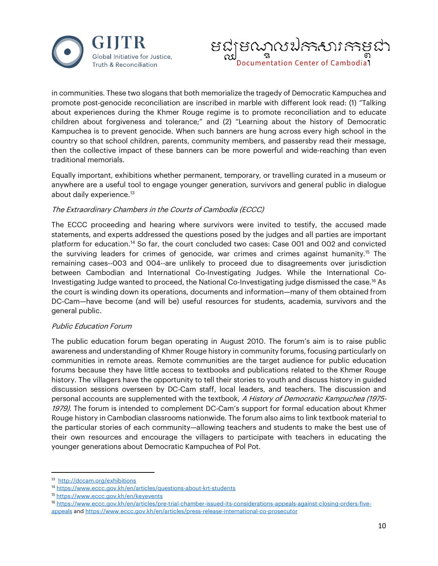



in communities. These two slogans that both memorialize the tragedy of Democratic Kampuchea and promote post-genocide reconciliation are inscribed in marble with different look read: (1) "Talking about experiences during the Khmer Rouge regime is to promote reconciliation and to educate children about forgiveness and tolerance;" and (2) "Learning about the history of Democratic Kampuchea is to prevent genocide. When such banners are hung across every high school in the country so that school children, parents, community members, and passersby read their message, then the collective impact of these banners can be more powerful and wide-reaching than even traditional memorials.

Equally important, exhibitions whether permanent, temporary, or travelling curated in a museum or anywhere are a useful tool to engage younger generation, survivors and general public in dialogue about daily experience. [13](#page-9-0)

#### The Extraordinary Chambers in the Courts of Cambodia (ECCC)

The ECCC proceeding and hearing where survivors were invited to testify, the accused made statements, and experts addressed the questions posed by the judges and all parties are important platform for education.<sup>[14](#page-9-1)</sup> So far, the court concluded two cases: Case 001 and 002 and convicted the surviving leaders for crimes of genocide, war crimes and crimes against humanity.[15](#page-9-2) The remaining cases--003 and 004--are unlikely to proceed due to disagreements over jurisdiction between Cambodian and International Co-Investigating Judges. While the International Co-Investigating Judge wanted to proceed, the National Co-Investigating judge dismissed the case.[16](#page-9-3) As the court is winding down its operations, documents and information—many of them obtained from DC-Cam—have become (and will be) useful resources for students, academia, survivors and the general public.

# Public Education Forum

The public education forum began operating in August 2010. The forum's aim is to raise public awareness and understanding of Khmer Rouge history in community forums, focusing particularly on communities in remote areas. Remote communities are the target audience for public education forums because they have little access to textbooks and publications related to the Khmer Rouge history. The villagers have the opportunity to tell their stories to youth and discuss history in guided discussion sessions overseen by DC-Cam staff, local leaders, and teachers. The discussion and personal accounts are supplemented with the textbook, A History of Democratic Kampuchea (1975- 1979). The forum is intended to complement DC-Cam's support for formal education about Khmer Rouge history in Cambodian classrooms nationwide. The forum also aims to link textbook material to the particular stories of each community—allowing teachers and students to make the best use of their own resources and encourage the villagers to participate with teachers in educating the younger generations about Democratic Kampuchea of Pol Pot.

<span id="page-9-0"></span><sup>&</sup>lt;sup>13</sup> <http://dccam.org/exhibitions>

<span id="page-9-1"></span><sup>&</sup>lt;sup>14</sup> <https://www.eccc.gov.kh/en/articles/questions-about-krt-students>

<span id="page-9-2"></span><sup>15</sup> <https://www.eccc.gov.kh/en/keyevents>

<span id="page-9-3"></span><sup>16</sup> [https://www.eccc.gov.kh/en/articles/pre-trial-chamber-issued-its-considerations-appeals-against-closing-orders-five](https://www.eccc.gov.kh/en/articles/pre-trial-chamber-issued-its-considerations-appeals-against-closing-orders-five-appeals)[appeals](https://www.eccc.gov.kh/en/articles/pre-trial-chamber-issued-its-considerations-appeals-against-closing-orders-five-appeals) an[d https://www.eccc.gov.kh/en/articles/press-release-international-co-prosecutor](https://www.eccc.gov.kh/en/articles/press-release-international-co-prosecutor)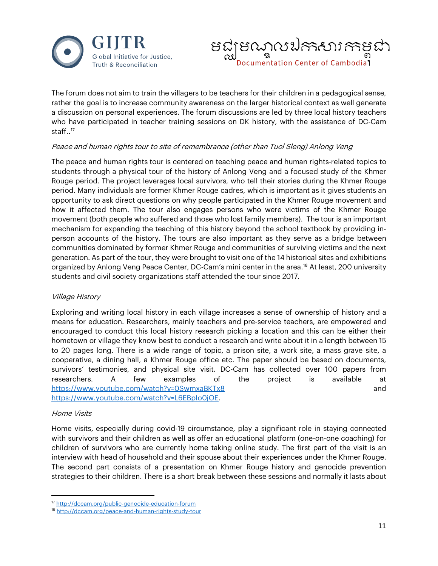



The forum does not aim to train the villagers to be teachers for their children in a pedagogical sense, rather the goal is to increase community awareness on the larger historical context as well generate a discussion on personal experiences. The forum discussions are led by three local history teachers who have participated in teacher training sessions on DK history, with the assistance of DC-Cam staff..<sup>[17](#page-10-0)</sup>

#### Peace and human rights tour to site of remembrance (other than Tuol Sleng) Anlong Veng

The peace and human rights tour is centered on teaching peace and human rights-related topics to students through a physical tour of the history of Anlong Veng and a focused study of the Khmer Rouge period. The project leverages local survivors, who tell their stories during the Khmer Rouge period. Many individuals are former Khmer Rouge cadres, which is important as it gives students an opportunity to ask direct questions on why people participated in the Khmer Rouge movement and how it affected them. The tour also engages persons who were victims of the Khmer Rouge movement (both people who suffered and those who lost family members). The tour is an important mechanism for expanding the teaching of this history beyond the school textbook by providing inperson accounts of the history. The tours are also important as they serve as a bridge between communities dominated by former Khmer Rouge and communities of surviving victims and the next generation. As part of the tour, they were brought to visit one of the 14 historical sites and exhibitions organized by Anlong Veng Peace Center, DC-Cam's mini center in the area.<sup>[18](#page-10-1)</sup> At least, 200 university students and civil society organizations staff attended the tour since 2017.

#### Village History

Exploring and writing local history in each village increases a sense of ownership of history and a means for education. Researchers, mainly teachers and pre-service teachers, are empowered and encouraged to conduct this local history research picking a location and this can be either their hometown or village they know best to conduct a research and write about it in a length between 15 to 20 pages long. There is a wide range of topic, a prison site, a work site, a mass grave site, a cooperative, a dining hall, a Khmer Rouge office etc. The paper should be based on documents, survivors' testimonies, and physical site visit. DC-Cam has collected over 100 papers from researchers. A few examples of the project is available at <https://www.youtube.com/watch?v=0SwmxaBKTx8> and [https://www.youtube.com/watch?v=L6EBpIo0jOE.](https://www.youtube.com/watch?v=L6EBpIo0jOE)

#### Home Visits

Home visits, especially during covid-19 circumstance, play a significant role in staying connected with survivors and their children as well as offer an educational platform (one-on-one coaching) for children of survivors who are currently home taking online study. The first part of the visit is an interview with head of household and their spouse about their experiences under the Khmer Rouge. The second part consists of a presentation on Khmer Rouge history and genocide prevention strategies to their children. There is a short break between these sessions and normally it lasts about

<span id="page-10-0"></span><sup>17</sup> <http://dccam.org/public-genocide-education-forum>

<span id="page-10-1"></span><sup>18</sup> <http://dccam.org/peace-and-human-rights-study-tour>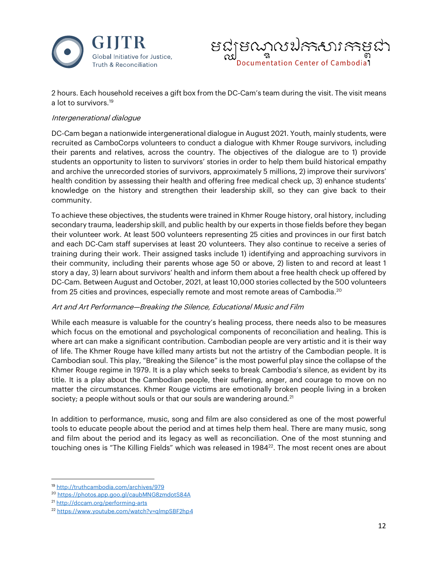



2 hours. Each household receives a gift box from the DC-Cam's team during the visit. The visit means a lot to survivors.<sup>[19](#page-11-0)</sup>

#### Intergenerational dialogue

DC-Cam began a nationwide intergenerational dialogue in August 2021. Youth, mainly students, were recruited as CamboCorps volunteers to conduct a dialogue with Khmer Rouge survivors, including their parents and relatives, across the country. The objectives of the dialogue are to 1) provide students an opportunity to listen to survivors' stories in order to help them build historical empathy and archive the unrecorded stories of survivors, approximately 5 millions, 2) improve their survivors' health condition by assessing their health and offering free medical check up, 3) enhance students' knowledge on the history and strengthen their leadership skill, so they can give back to their community.

To achieve these objectives, the students were trained in Khmer Rouge history, oral history, including secondary trauma, leadership skill, and public health by our experts in those fields before they began their volunteer work. At least 500 volunteers representing 25 cities and provinces in our first batch and each DC-Cam staff supervises at least 20 volunteers. They also continue to receive a series of training during their work. Their assigned tasks include 1) identifying and approaching survivors in their community, including their parents whose age 50 or above, 2) listen to and record at least 1 story a day, 3) learn about survivors' health and inform them about a free health check up offered by DC-Cam. Between August and October, 2021, at least 10,000 stories collected by the 500 volunteers from 25 cities and provinces, especially remote and most remote areas of Cambodia.<sup>20</sup>

#### Art and Art Performance—Breaking the Silence, Educational Music and Film

While each measure is valuable for the country's healing process, there needs also to be measures which focus on the emotional and psychological components of reconciliation and healing. This is where art can make a significant contribution. Cambodian people are very artistic and it is their way of life. The Khmer Rouge have killed many artists but not the artistry of the Cambodian people. It is Cambodian soul. This play, "Breaking the Silence" is the most powerful play since the collapse of the Khmer Rouge regime in 1979. It is a play which seeks to break Cambodia's silence, as evident by its title. It is a play about the Cambodian people, their suffering, anger, and courage to move on no matter the circumstances. Khmer Rouge victims are emotionally broken people living in a broken society; a people without souls or that our souls are wandering around.<sup>[21](#page-11-2)</sup>

In addition to performance, music, song and film are also considered as one of the most powerful tools to educate people about the period and at times help them heal. There are many music, song and film about the period and its legacy as well as reconciliation. One of the most stunning and touching ones is "The Killing Fields" which was released in 1984<sup>22</sup>. The most recent ones are about

<span id="page-11-0"></span><sup>19</sup> <http://truthcambodia.com/archives/979>

<span id="page-11-1"></span><sup>20</sup> <https://photos.app.goo.gl/caubMNG8zmdotS84A>

<span id="page-11-2"></span><sup>21</sup> <http://dccam.org/performing-arts>

<span id="page-11-3"></span><sup>&</sup>lt;sup>22</sup> <https://www.youtube.com/watch?v=qlmpSBF2hp4>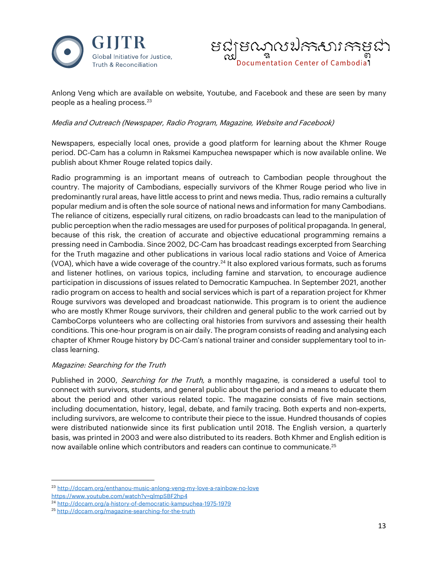



Anlong Veng which are available on website, Youtube, and Facebook and these are seen by many people as a healing process.<sup>23</sup>

#### Media and Outreach (Newspaper, Radio Program, Magazine, Website and Facebook)

Newspapers, especially local ones, provide a good platform for learning about the Khmer Rouge period. DC-Cam has a column in Raksmei Kampuchea newspaper which is now available online. We publish about Khmer Rouge related topics daily.

Radio programming is an important means of outreach to Cambodian people throughout the country. The majority of Cambodians, especially survivors of the Khmer Rouge period who live in predominantly rural areas, have little access to print and news media. Thus, radio remains a culturally popular medium and is often the sole source of national news and information for many Cambodians. The reliance of citizens, especially rural citizens, on radio broadcasts can lead to the manipulation of public perception when the radio messages are used for purposes of political propaganda. In general, because of this risk, the creation of accurate and objective educational programming remains a pressing need in Cambodia. Since 2002, DC-Cam has broadcast readings excerpted from Searching for the Truth magazine and other publications in various local radio stations and Voice of America (VOA), which have a wide coverage of the country.<sup>24</sup> It also explored various formats, such as forums and listener hotlines, on various topics, including famine and starvation, to encourage audience participation in discussions of issues related to Democratic Kampuchea. In September 2021, another radio program on access to health and social services which is part of a reparation project for Khmer Rouge survivors was developed and broadcast nationwide. This program is to orient the audience who are mostly Khmer Rouge survivors, their children and general public to the work carried out by CamboCorps volunteers who are collecting oral histories from survivors and assessing their health conditions. This one-hour program is on air daily. The program consists of reading and analysing each chapter of Khmer Rouge history by DC-Cam's national trainer and consider supplementary tool to inclass learning.

#### Magazine: Searching for the Truth

Published in 2000, Searching for the Truth, a monthly magazine, is considered a useful tool to connect with survivors, students, and general public about the period and a means to educate them about the period and other various related topic. The magazine consists of five main sections, including documentation, history, legal, debate, and family tracing. Both experts and non-experts, including survivors, are welcome to contribute their piece to the issue. Hundred thousands of copies were distributed nationwide since its first publication until 2018. The English version, a quarterly basis, was printed in 2003 and were also distributed to its readers. Both Khmer and English edition is now available online which contributors and readers can continue to communicate.<sup>25</sup>

<span id="page-12-0"></span><sup>23</sup> <http://dccam.org/enthanou-music-anlong-veng-my-love-a-rainbow-no-love>

<https://www.youtube.com/watch?v=qlmpSBF2hp4>

<span id="page-12-1"></span><sup>24</sup> <http://dccam.org/a-history-of-democratic-kampuchea-1975-1979>

<span id="page-12-2"></span><sup>25</sup> <http://dccam.org/magazine-searching-for-the-truth>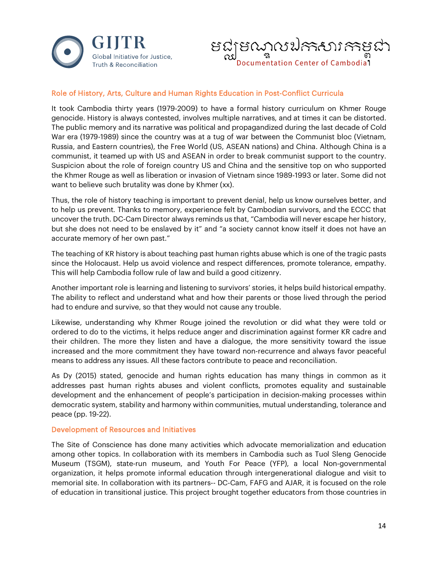



# Role of History, Arts, Culture and Human Rights Education in Post-Conflict Curricula

It took Cambodia thirty years (1979-2009) to have a formal history curriculum on Khmer Rouge genocide. History is always contested, involves multiple narratives, and at times it can be distorted. The public memory and its narrative was political and propagandized during the last decade of Cold War era (1979-1989) since the country was at a tug of war between the Communist bloc (Vietnam, Russia, and Eastern countries), the Free World (US, ASEAN nations) and China. Although China is a communist, it teamed up with US and ASEAN in order to break communist support to the country. Suspicion about the role of foreign country US and China and the sensitive top on who supported the Khmer Rouge as well as liberation or invasion of Vietnam since 1989-1993 or later. Some did not want to believe such brutality was done by Khmer (xx).

Thus, the role of history teaching is important to prevent denial, help us know ourselves better, and to help us prevent. Thanks to memory, experience felt by Cambodian survivors, and the ECCC that uncover the truth. DC-Cam Director always reminds us that, "Cambodia will never escape her history, but she does not need to be enslaved by it" and "a society cannot know itself it does not have an accurate memory of her own past."

The teaching of KR history is about teaching past human rights abuse which is one of the tragic pasts since the Holocaust. Help us avoid violence and respect differences, promote tolerance, empathy. This will help Cambodia follow rule of law and build a good citizenry.

Another important role is learning and listening to survivors' stories, it helps build historical empathy. The ability to reflect and understand what and how their parents or those lived through the period had to endure and survive, so that they would not cause any trouble.

Likewise, understanding why Khmer Rouge joined the revolution or did what they were told or ordered to do to the victims, it helps reduce anger and discrimination against former KR cadre and their children. The more they listen and have a dialogue, the more sensitivity toward the issue increased and the more commitment they have toward non-recurrence and always favor peaceful means to address any issues. All these factors contribute to peace and reconciliation.

As Dy (2015) stated, genocide and human rights education has many things in common as it addresses past human rights abuses and violent conflicts, promotes equality and sustainable development and the enhancement of people's participation in decision-making processes within democratic system, stability and harmony within communities, mutual understanding, tolerance and peace (pp. 19-22).

#### Development of Resources and Initiatives

The Site of Conscience has done many activities which advocate memorialization and education among other topics. In collaboration with its members in Cambodia such as Tuol Sleng Genocide Museum (TSGM), state-run museum, and Youth For Peace (YFP), a local Non-governmental organization, it helps promote informal education through intergenerational dialogue and visit to memorial site. In collaboration with its partners-- DC-Cam, FAFG and AJAR, it is focused on the role of education in transitional justice. This project brought together educators from those countries in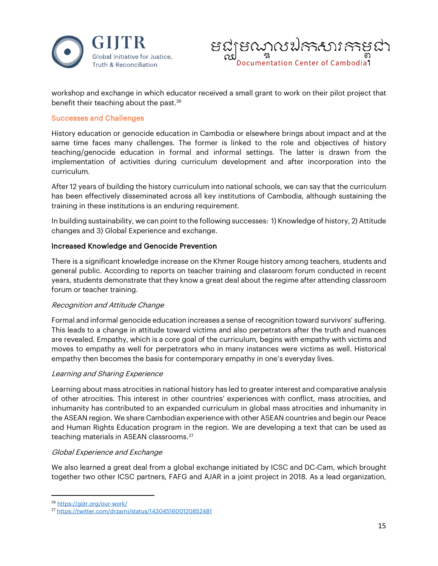



workshop and exchange in which educator received a small grant to work on their pilot project that benefit their teaching about the past.<sup>[26](#page-14-0)</sup>

#### Successes and Challenges

History education or genocide education in Cambodia or elsewhere brings about impact and at the same time faces many challenges. The former is linked to the role and objectives of history teaching/genocide education in formal and informal settings. The latter is drawn from the implementation of activities during curriculum development and after incorporation into the curriculum.

After 12 years of building the history curriculum into national schools, we can say that the curriculum has been effectively disseminated across all key institutions of Cambodia, although sustaining the training in these institutions is an enduring requirement.

In building sustainability, we can point to the following successes: 1) Knowledge of history, 2) Attitude changes and 3) Global Experience and exchange.

#### Increased Knowledge and Genocide Prevention

There is a significant knowledge increase on the Khmer Rouge history among teachers, students and general public. According to reports on teacher training and classroom forum conducted in recent years, students demonstrate that they know a great deal about the regime after attending classroom forum or teacher training.

#### Recognition and Attitude Change

Formal and informal genocide education increases a sense of recognition toward survivors' suffering. This leads to a change in attitude toward victims and also perpetrators after the truth and nuances are revealed. Empathy, which is a core goal of the curriculum, begins with empathy with victims and moves to empathy as well for perpetrators who in many instances were victims as well. Historical empathy then becomes the basis for contemporary empathy in one's everyday lives.

#### Learning and Sharing Experience

Learning about mass atrocities in national history has led to greater interest and comparative analysis of other atrocities. This interest in other countries' experiences with conflict, mass atrocities, and inhumanity has contributed to an expanded curriculum in global mass atrocities and inhumanity in the ASEAN region. We share Cambodian experience with other ASEAN countries and begin our Peace and Human Rights Education program in the region. We are developing a text that can be used as teaching materials in ASEAN classrooms.[27](#page-14-1)

#### Global Experience and Exchange

We also learned a great deal from a global exchange initiated by ICSC and DC-Cam, which brought together two other ICSC partners, FAFG and AJAR in a joint project in 2018. As a lead organization,

<span id="page-14-0"></span><sup>26</sup> <https://gijtr.org/our-work/>

<span id="page-14-1"></span><sup>27</sup> <https://twitter.com/drzarni/status/1430451600120852481>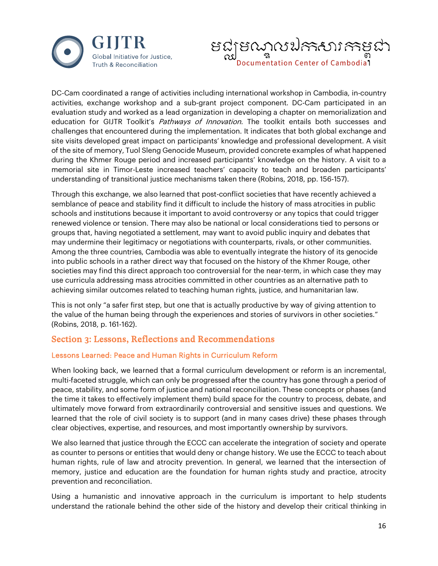



DC-Cam coordinated a range of activities including international workshop in Cambodia, in-country activities, exchange workshop and a sub-grant project component. DC-Cam participated in an evaluation study and worked as a lead organization in developing a chapter on memorialization and education for GIJTR Toolkit's Pathways of Innovation. The toolkit entails both successes and challenges that encountered during the implementation. It indicates that both global exchange and site visits developed great impact on participants' knowledge and professional development. A visit of the site of memory, Tuol Sleng Genocide Museum, provided concrete examples of what happened during the Khmer Rouge period and increased participants' knowledge on the history. A visit to a memorial site in Timor-Leste increased teachers' capacity to teach and broaden participants' understanding of transitional justice mechanisms taken there (Robins, 2018, pp. 156-157).

Through this exchange, we also learned that post-conflict societies that have recently achieved a semblance of peace and stability find it difficult to include the history of mass atrocities in public schools and institutions because it important to avoid controversy or any topics that could trigger renewed violence or tension. There may also be national or local considerations tied to persons or groups that, having negotiated a settlement, may want to avoid public inquiry and debates that may undermine their legitimacy or negotiations with counterparts, rivals, or other communities. Among the three countries, Cambodia was able to eventually integrate the history of its genocide into public schools in a rather direct way that focused on the history of the Khmer Rouge, other societies may find this direct approach too controversial for the near-term, in which case they may use curricula addressing mass atrocities committed in other countries as an alternative path to achieving similar outcomes related to teaching human rights, justice, and humanitarian law.

This is not only "a safer first step, but one that is actually productive by way of giving attention to the value of the human being through the experiences and stories of survivors in other societies." (Robins, 2018, p. 161-162).

# Section 3: Lessons, Reflections and Recommendations

# Lessons Learned: Peace and Human Rights in Curriculum Reform

When looking back, we learned that a formal curriculum development or reform is an incremental, multi-faceted struggle, which can only be progressed after the country has gone through a period of peace, stability, and some form of justice and national reconciliation. These concepts or phases (and the time it takes to effectively implement them) build space for the country to process, debate, and ultimately move forward from extraordinarily controversial and sensitive issues and questions. We learned that the role of civil society is to support (and in many cases drive) these phases through clear objectives, expertise, and resources, and most importantly ownership by survivors.

We also learned that justice through the ECCC can accelerate the integration of society and operate as counter to persons or entities that would deny or change history. We use the ECCC to teach about human rights, rule of law and atrocity prevention. In general, we learned that the intersection of memory, justice and education are the foundation for human rights study and practice, atrocity prevention and reconciliation.

Using a humanistic and innovative approach in the curriculum is important to help students understand the rationale behind the other side of the history and develop their critical thinking in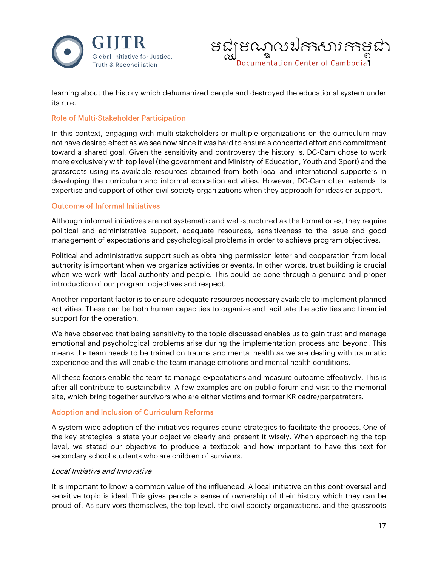



learning about the history which dehumanized people and destroyed the educational system under its rule.

#### Role of Multi-Stakeholder Participation

In this context, engaging with multi-stakeholders or multiple organizations on the curriculum may not have desired effect as we see now since it was hard to ensure a concerted effort and commitment toward a shared goal. Given the sensitivity and controversy the history is, DC-Cam chose to work more exclusively with top level (the government and Ministry of Education, Youth and Sport) and the grassroots using its available resources obtained from both local and international supporters in developing the curriculum and informal education activities. However, DC-Cam often extends its expertise and support of other civil society organizations when they approach for ideas or support.

#### Outcome of Informal Initiatives

Although informal initiatives are not systematic and well-structured as the formal ones, they require political and administrative support, adequate resources, sensitiveness to the issue and good management of expectations and psychological problems in order to achieve program objectives.

Political and administrative support such as obtaining permission letter and cooperation from local authority is important when we organize activities or events. In other words, trust building is crucial when we work with local authority and people. This could be done through a genuine and proper introduction of our program objectives and respect.

Another important factor is to ensure adequate resources necessary available to implement planned activities. These can be both human capacities to organize and facilitate the activities and financial support for the operation.

We have observed that being sensitivity to the topic discussed enables us to gain trust and manage emotional and psychological problems arise during the implementation process and beyond. This means the team needs to be trained on trauma and mental health as we are dealing with traumatic experience and this will enable the team manage emotions and mental health conditions.

All these factors enable the team to manage expectations and measure outcome effectively. This is after all contribute to sustainability. A few examples are on public forum and visit to the memorial site, which bring together survivors who are either victims and former KR cadre/perpetrators.

# Adoption and Inclusion of Curriculum Reforms

A system-wide adoption of the initiatives requires sound strategies to facilitate the process. One of the key strategies is state your objective clearly and present it wisely. When approaching the top level, we stated our objective to produce a textbook and how important to have this text for secondary school students who are children of survivors.

#### Local Initiative and Innovative

It is important to know a common value of the influenced. A local initiative on this controversial and sensitive topic is ideal. This gives people a sense of ownership of their history which they can be proud of. As survivors themselves, the top level, the civil society organizations, and the grassroots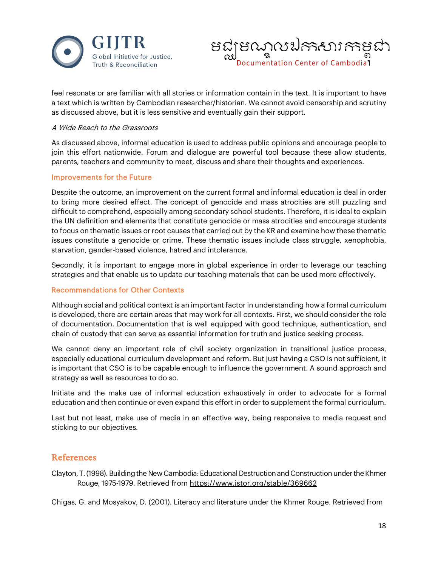



feel resonate or are familiar with all stories or information contain in the text. It is important to have a text which is written by Cambodian researcher/historian. We cannot avoid censorship and scrutiny as discussed above, but it is less sensitive and eventually gain their support.

#### A Wide Reach to the Grassroots

As discussed above, informal education is used to address public opinions and encourage people to join this effort nationwide. Forum and dialogue are powerful tool because these allow students, parents, teachers and community to meet, discuss and share their thoughts and experiences.

#### Improvements for the Future

Despite the outcome, an improvement on the current formal and informal education is deal in order to bring more desired effect. The concept of genocide and mass atrocities are still puzzling and difficult to comprehend, especially among secondary school students. Therefore, it is ideal to explain the UN definition and elements that constitute genocide or mass atrocities and encourage students to focus on thematic issues or root causes that carried out by the KR and examine how these thematic issues constitute a genocide or crime. These thematic issues include class struggle, xenophobia, starvation, gender-based violence, hatred and intolerance.

Secondly, it is important to engage more in global experience in order to leverage our teaching strategies and that enable us to update our teaching materials that can be used more effectively.

#### Recommendations for Other Contexts

Although social and political context is an important factor in understanding how a formal curriculum is developed, there are certain areas that may work for all contexts. First, we should consider the role of documentation. Documentation that is well equipped with good technique, authentication, and chain of custody that can serve as essential information for truth and justice seeking process.

We cannot deny an important role of civil society organization in transitional justice process, especially educational curriculum development and reform. But just having a CSO is not sufficient, it is important that CSO is to be capable enough to influence the government. A sound approach and strategy as well as resources to do so.

Initiate and the make use of informal education exhaustively in order to advocate for a formal education and then continue or even expand this effort in order to supplement the formal curriculum.

Last but not least, make use of media in an effective way, being responsive to media request and sticking to our objectives.

# References

Clayton, T. (1998). Building the New Cambodia: Educational Destruction and Construction under the Khmer Rouge, 1975-1979. Retrieved from<https://www.jstor.org/stable/369662>

Chigas, G. and Mosyakov, D. (2001). Literacy and literature under the Khmer Rouge. Retrieved from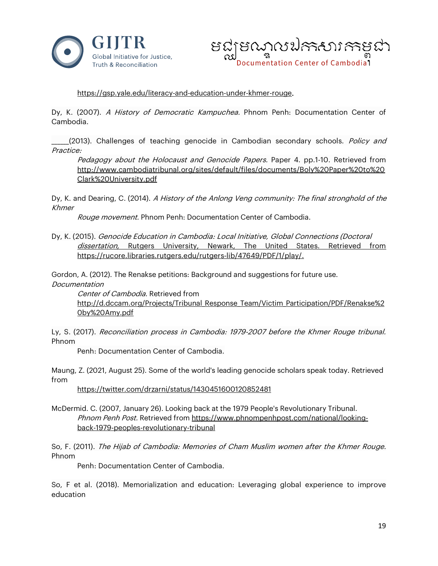



#### [https://gsp.yale.edu/literacy-and-education-under-khmer-rouge.](https://gsp.yale.edu/literacy-and-education-under-khmer-rouge)

Dy, K. (2007). A History of Democratic Kampuchea. Phnom Penh: Documentation Center of Cambodia.

(2013). Challenges of teaching genocide in Cambodian secondary schools. Policy and Practice:

Pedagogy about the Holocaust and Genocide Papers. Paper 4. pp.1-10. Retrieved from [http://www.cambodiatribunal.org/sites/default/files/documents/Boly%20Paper%20to%20](http://www.cambodiatribunal.org/sites/default/files/documents/Boly%20Paper%20to%20Clark%20University.pdf) [Clark%20University.pdf](http://www.cambodiatribunal.org/sites/default/files/documents/Boly%20Paper%20to%20Clark%20University.pdf)

Dy, K. and Dearing, C. (2014). A History of the Anlong Veng community: The final stronghold of the Khmer

Rouge movement. Phnom Penh: Documentation Center of Cambodia.

Dy, K. (2015). Genocide Education in Cambodia: Local Initiative, Global Connections (Doctoral dissertation, Rutgers University, Newark, The United States. Retrieved from [https://rucore.libraries.rutgers.edu/rutgers-lib/47649/PDF/1/play/.](https://rucore.libraries.rutgers.edu/rutgers-lib/47649/PDF/1/play/)

Gordon, A. (2012). The Renakse petitions: Background and suggestions for future use.

Documentation

Center of Cambodia. Retrieved from [http://d.dccam.org/Projects/Tribunal\\_Response\\_Team/Victim\\_Participation/PDF/Renakse%2](http://d.dccam.org/Projects/Tribunal_Response_Team/Victim_Participation/PDF/Renakse%20by%20Amy.pdf) [0by%20Amy.pdf](http://d.dccam.org/Projects/Tribunal_Response_Team/Victim_Participation/PDF/Renakse%20by%20Amy.pdf)

Ly, S. (2017). Reconciliation process in Cambodia: 1979-2007 before the Khmer Rouge tribunal. Phnom

Penh: Documentation Center of Cambodia.

Maung, Z. (2021, August 25). Some of the world's leading genocide scholars speak today. Retrieved from

<https://twitter.com/drzarni/status/1430451600120852481>

McDermid. C. (2007, January 26). Looking back at the 1979 People's Revolutionary Tribunal. Phnom Penh Post. Retrieved from [https://www.phnompenhpost.com/national/looking](https://www.phnompenhpost.com/national/looking-back-1979-peoples-revolutionary-tribunal)[back-1979-peoples-revolutionary-tribunal](https://www.phnompenhpost.com/national/looking-back-1979-peoples-revolutionary-tribunal)

So, F. (2011). The Hijab of Cambodia: Memories of Cham Muslim women after the Khmer Rouge. Phnom

Penh: Documentation Center of Cambodia.

So, F et al. (2018). Memorialization and education: Leveraging global experience to improve education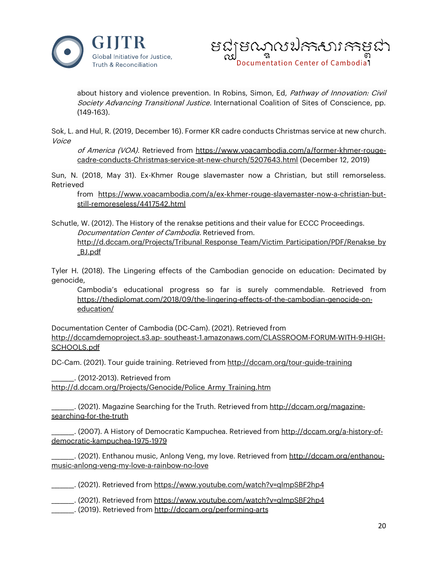



about history and violence prevention. In Robins, Simon, Ed, Pathway of Innovation: Civil Society Advancing Transitional Justice. International Coalition of Sites of Conscience, pp. (149-163).

Sok, L. and Hul, R. (2019, December 16). Former KR cadre conducts Christmas service at new church. Voice

of America (VOA). Retrieved from [https://www.voacambodia.com/a/former-khmer-rouge](https://www.voacambodia.com/a/former-khmer-rouge-cadre-conducts-Christmas-service-at-new-church/5207643.html)[cadre-conducts-Christmas-service-at-new-church/5207643.html](https://www.voacambodia.com/a/former-khmer-rouge-cadre-conducts-Christmas-service-at-new-church/5207643.html) (December 12, 2019)

Sun, N. (2018, May 31). Ex-Khmer Rouge slavemaster now a Christian, but still remorseless. Retrieved

from [https://www.voacambodia.com/a/ex-khmer-rouge-slavemaster-now-a-christian-but](https://www.voacambodia.com/a/ex-khmer-rouge-slavemaster-now-a-christian-but-still-remoreseless/4417542.html)[still-remoreseless/4417542.html](https://www.voacambodia.com/a/ex-khmer-rouge-slavemaster-now-a-christian-but-still-remoreseless/4417542.html)

Schutle, W. (2012). The History of the renakse petitions and their value for ECCC Proceedings. Documentation Center of Cambodia. Retrieved from. [http://d.dccam.org/Projects/Tribunal\\_Response\\_Team/Victim\\_Participation/PDF/Renakse\\_by](http://d.dccam.org/Projects/Tribunal_Response_Team/Victim_Participation/PDF/Renakse_by_BJ.pdf)

[\\_BJ.pdf](http://d.dccam.org/Projects/Tribunal_Response_Team/Victim_Participation/PDF/Renakse_by_BJ.pdf)

Tyler H. (2018). The Lingering effects of the Cambodian genocide on education: Decimated by genocide,

Cambodia's educational progress so far is surely commendable. Retrieved from [https://thediplomat.com/2018/09/the-lingering-effects-of-the-cambodian-genocide-on](https://thediplomat.com/2018/09/the-lingering-effects-of-the-cambodian-genocide-on-education/)[education/](https://thediplomat.com/2018/09/the-lingering-effects-of-the-cambodian-genocide-on-education/)

Documentation Center of Cambodia (DC-Cam). (2021). Retrieved from http://dccamdemoproject.s3.ap- southeast-1.amazonaws.com/CLASSROOM-FORUM-WITH-9-HIGH-SCHOOLS.pdf

DC-Cam. (2021). Tour guide training. Retrieved from<http://dccam.org/tour-guide-training>

\_\_\_\_\_\_\_\_. (2012-2013). Retrieved from [http://d.dccam.org/Projects/Genocide/Police\\_Army\\_Training.htm](http://d.dccam.org/Projects/Genocide/Police_Army_Training.htm)

\_\_\_\_\_\_\_\_. (2021). Magazine Searching for the Truth. Retrieved from [http://dccam.org/magazine](http://dccam.org/magazine-searching-for-the-truth)[searching-for-the-truth](http://dccam.org/magazine-searching-for-the-truth)

\_\_\_. (2007). A History of Democratic Kampuchea. Retrieved from <u>http://dccam.org/a-history-of-</u> [democratic-kampuchea-1975-1979](http://dccam.org/a-history-of-democratic-kampuchea-1975-1979)

\_. (2021). Enthanou music, Anlong Veng, my love. Retrieved from <u>http://dccam.org/enthanou-</u> [music-anlong-veng-my-love-a-rainbow-no-love](http://dccam.org/enthanou-music-anlong-veng-my-love-a-rainbow-no-love)

\_\_\_\_\_\_\_\_. (2021). Retrieved from<https://www.youtube.com/watch?v=qlmpSBF2hp4>

\_\_\_\_\_\_\_\_. (2021). Retrieved from<https://www.youtube.com/watch?v=qlmpSBF2hp4>

\_\_\_\_\_\_\_\_. (2019). Retrieved from<http://dccam.org/performing-arts>